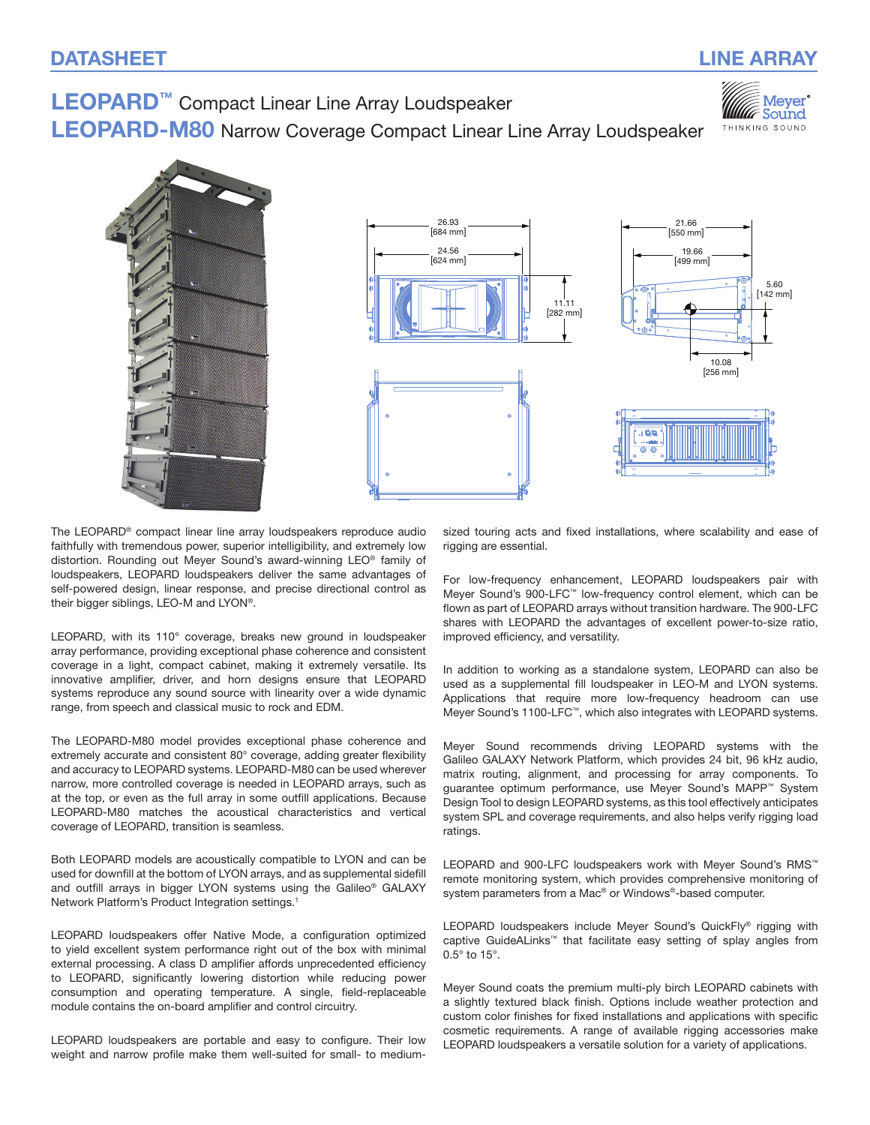Mever Sound THINKING SOUND

# LEOPARD<sup>™</sup> Compact Linear Line Array Loudspeaker

LEOPARD-M80 Narrow Coverage Compact Linear Line Array Loudspeaker



The LEOPARD® compact linear line array loudspeakers reproduce audio faithfully with tremendous power, superior intelligibility, and extremely low distortion. Rounding out Meyer Sound's award‑winning LEO® family of loudspeakers, LEOPARD loudspeakers deliver the same advantages of self-powered design, linear response, and precise directional control as their bigger siblings, LEO-M and LYON®.

LEOPARD, with its 110° coverage, breaks new ground in loudspeaker array performance, providing exceptional phase coherence and consistent coverage in a light, compact cabinet, making it extremely versatile. Its innovative amplifier, driver, and horn designs ensure that LEOPARD systems reproduce any sound source with linearity over a wide dynamic range, from speech and classical music to rock and EDM.

The LEOPARD-M80 model provides exceptional phase coherence and extremely accurate and consistent 80° coverage, adding greater flexibility and accuracy to LEOPARD systems. LEOPARD-M80 can be used wherever narrow, more controlled coverage is needed in LEOPARD arrays, such as at the top, or even as the full array in some outfill applications. Because LEOPARD-M80 matches the acoustical characteristics and vertical coverage of LEOPARD, transition is seamless.

Both LEOPARD models are acoustically compatible to LYON and can be used for downfill at the bottom of LYON arrays, and as supplemental sidefill and outfill arrays in bigger LYON systems using the Galileo® GALAXY Network Platform's Product Integration settings.<sup>1</sup>

LEOPARD loudspeakers offer Native Mode, a configuration optimized to yield excellent system performance right out of the box with minimal external processing. A class D amplifier affords unprecedented efficiency to LEOPARD, significantly lowering distortion while reducing power consumption and operating temperature. A single, field-replaceable module contains the on-board amplifier and control circuitry.

LEOPARD loudspeakers are portable and easy to configure. Their low weight and narrow profile make them well-suited for small- to medium-

sized touring acts and fixed installations, where scalability and ease of rigging are essential.

For low-frequency enhancement, LEOPARD loudspeakers pair with Meyer Sound's 900-LFC™ low-frequency control element, which can be flown as part of LEOPARD arrays without transition hardware. The 900‑LFC shares with LEOPARD the advantages of excellent power-to-size ratio, improved efficiency, and versatility.

In addition to working as a standalone system, LEOPARD can also be used as a supplemental fill loudspeaker in LEO-M and LYON systems. Applications that require more low-frequency headroom can use Meyer Sound's 1100-LFC™, which also integrates with LEOPARD systems.

Meyer Sound recommends driving LEOPARD systems with the Galileo GALAXY Network Platform, which provides 24 bit, 96 kHz audio, matrix routing, alignment, and processing for array components. To guarantee optimum performance, use Meyer Sound's MAPP™ System Design Tool to design LEOPARD systems, as this tool effectively anticipates system SPL and coverage requirements, and also helps verify rigging load ratings.

LEOPARD and 900-LFC loudspeakers work with Meyer Sound's RMS™ remote monitoring system, which provides comprehensive monitoring of system parameters from a Mac<sup>®</sup> or Windows®-based computer.

LEOPARD loudspeakers include Meyer Sound's QuickFly® rigging with captive GuideALinks™ that facilitate easy setting of splay angles from 0.5° to 15°.

Meyer Sound coats the premium multi-ply birch LEOPARD cabinets with a slightly textured black finish. Options include weather protection and custom color finishes for fixed installations and applications with specific cosmetic requirements. A range of available rigging accessories make LEOPARD loudspeakers a versatile solution for a variety of applications.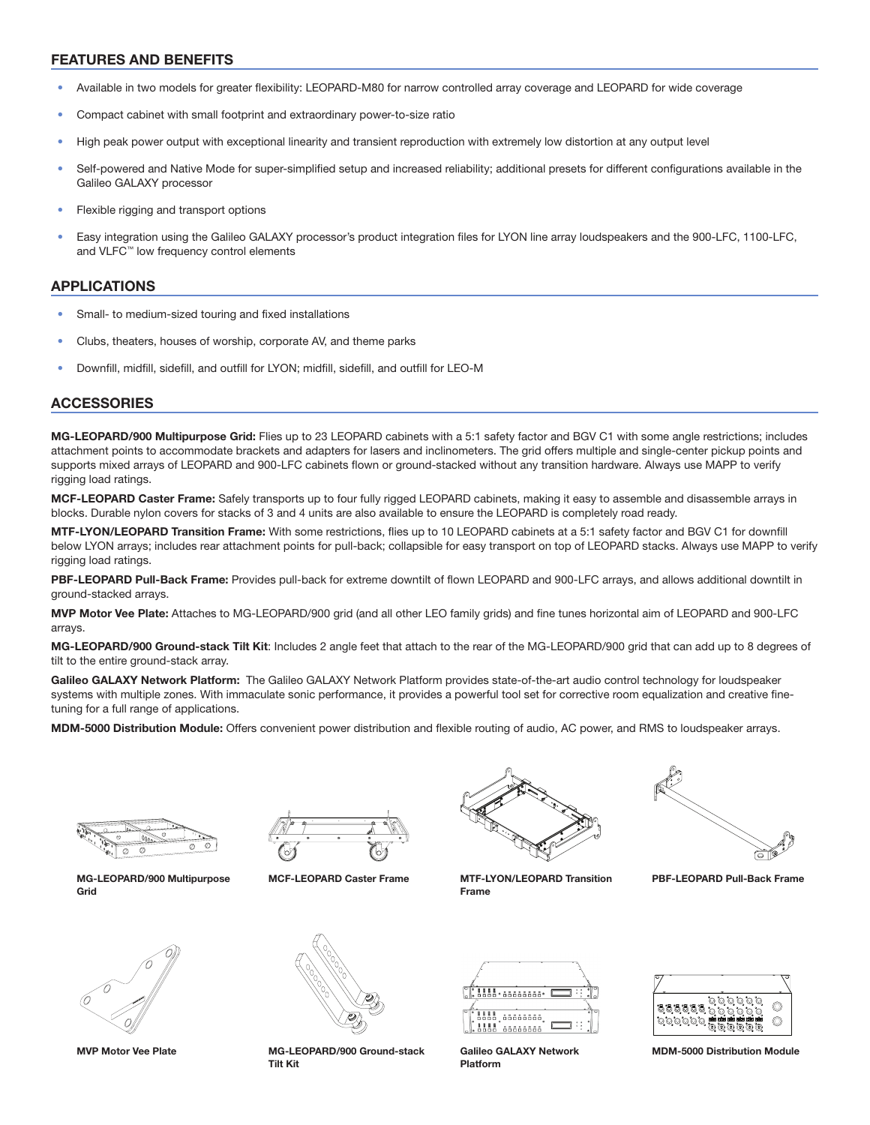#### FEATURES AND BENEFITS

- Available in two models for greater flexibility: LEOPARD-M80 for narrow controlled array coverage and LEOPARD for wide coverage
- Compact cabinet with small footprint and extraordinary power-to-size ratio
- High peak power output with exceptional linearity and transient reproduction with extremely low distortion at any output level
- Self-powered and Native Mode for super-simplified setup and increased reliability; additional presets for different configurations available in the Galileo GALAXY processor
- Flexible rigging and transport options
- Easy integration using the Galileo GALAXY processor's product integration files for LYON line array loudspeakers and the 900-LFC, 1100-LFC, and VLFC™ low frequency control elements

#### APPLICATIONS

- Small- to medium-sized touring and fixed installations
- Clubs, theaters, houses of worship, corporate AV, and theme parks
- Downfill, midfill, sidefill, and outfill for LYON; midfill, sidefill, and outfill for LEO-M

#### ACCESSORIES

MG-LEOPARD/900 Multipurpose Grid: Flies up to 23 LEOPARD cabinets with a 5:1 safety factor and BGV C1 with some angle restrictions; includes attachment points to accommodate brackets and adapters for lasers and inclinometers. The grid offers multiple and single-center pickup points and supports mixed arrays of LEOPARD and 900-LFC cabinets flown or ground-stacked without any transition hardware. Always use MAPP to verify rigging load ratings.

MCF-LEOPARD Caster Frame: Safely transports up to four fully rigged LEOPARD cabinets, making it easy to assemble and disassemble arrays in blocks. Durable nylon covers for stacks of 3 and 4 units are also available to ensure the LEOPARD is completely road ready.

MTF-LYON/LEOPARD Transition Frame: With some restrictions, flies up to 10 LEOPARD cabinets at a 5:1 safety factor and BGV C1 for downfill below LYON arrays; includes rear attachment points for pull-back; collapsible for easy transport on top of LEOPARD stacks. Always use MAPP to verify rigging load ratings.

PBF-LEOPARD Pull-Back Frame: Provides pull-back for extreme downtilt of flown LEOPARD and 900-LFC arrays, and allows additional downtilt in ground-stacked arrays.

MVP Motor Vee Plate: Attaches to MG-LEOPARD/900 grid (and all other LEO family grids) and fine tunes horizontal aim of LEOPARD and 900‑LFC arrays.

MG-LEOPARD/900 Ground-stack Tilt Kit: Includes 2 angle feet that attach to the rear of the MG-LEOPARD/900 grid that can add up to 8 degrees of tilt to the entire ground-stack array.

Galileo GALAXY Network Platform: The Galileo GALAXY Network Platform provides state-of-the-art audio control technology for loudspeaker systems with multiple zones. With immaculate sonic performance, it provides a powerful tool set for corrective room equalization and creative finetuning for a full range of applications.

MDM-5000 Distribution Module: Offers convenient power distribution and flexible routing of audio, AC power, and RMS to loudspeaker arrays.



MG-LEOPARD/900 Multipurpose Grid





MCF-LEOPARD Caster Frame MTF-LYON/LEOPARD Transition



PBF-LEOPARD Pull-Back Frame



Frame

Galileo GALAXY Network Platform



MDM-5000 Distribution Module

MVP Motor Vee Plate MG-LEOPARD/900 Ground-stack Tilt Kit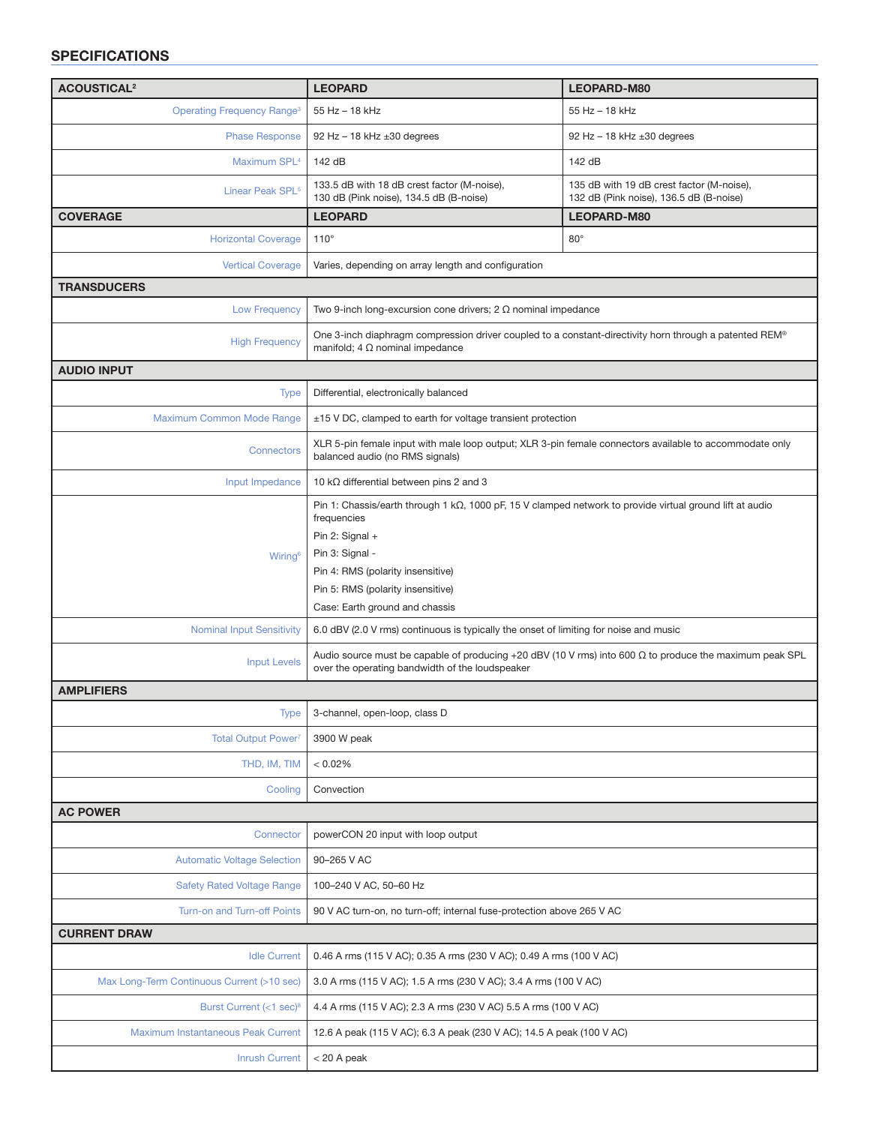## SPECIFICATIONS

| <b>ACOUSTICAL<sup>2</sup></b>                | <b>LEOPARD</b>                                                                                                                                                                                                                                                                     | LEOPARD-M80                                                                          |
|----------------------------------------------|------------------------------------------------------------------------------------------------------------------------------------------------------------------------------------------------------------------------------------------------------------------------------------|--------------------------------------------------------------------------------------|
| <b>Operating Frequency Range<sup>3</sup></b> | 55 Hz - 18 kHz                                                                                                                                                                                                                                                                     | 55 Hz - 18 kHz                                                                       |
| <b>Phase Response</b>                        | 92 Hz $-$ 18 kHz $\pm 30$ degrees                                                                                                                                                                                                                                                  | 92 Hz $-$ 18 kHz $\pm 30$ degrees                                                    |
| Maximum SPL <sup>4</sup>                     | 142 dB                                                                                                                                                                                                                                                                             | 142 dB                                                                               |
| Linear Peak SPL <sup>5</sup>                 | 133.5 dB with 18 dB crest factor (M-noise),<br>130 dB (Pink noise), 134.5 dB (B-noise)                                                                                                                                                                                             | 135 dB with 19 dB crest factor (M-noise),<br>132 dB (Pink noise), 136.5 dB (B-noise) |
| <b>COVERAGE</b>                              | <b>LEOPARD</b>                                                                                                                                                                                                                                                                     | LEOPARD-M80                                                                          |
| <b>Horizontal Coverage</b>                   | $110^\circ$                                                                                                                                                                                                                                                                        | $80^\circ$                                                                           |
| <b>Vertical Coverage</b>                     | Varies, depending on array length and configuration                                                                                                                                                                                                                                |                                                                                      |
| <b>TRANSDUCERS</b>                           |                                                                                                                                                                                                                                                                                    |                                                                                      |
| <b>Low Frequency</b>                         | Two 9-inch long-excursion cone drivers; $2 \Omega$ nominal impedance                                                                                                                                                                                                               |                                                                                      |
| <b>High Frequency</b>                        | ®One 3-inch diaphragm compression driver coupled to a constant-directivity horn through a patented REM®<br>manifold; 4 $\Omega$ nominal impedance                                                                                                                                  |                                                                                      |
| <b>AUDIO INPUT</b>                           |                                                                                                                                                                                                                                                                                    |                                                                                      |
| Type                                         | Differential, electronically balanced                                                                                                                                                                                                                                              |                                                                                      |
| Maximum Common Mode Range                    | $\pm$ 15 V DC, clamped to earth for voltage transient protection                                                                                                                                                                                                                   |                                                                                      |
| <b>Connectors</b>                            | XLR 5-pin female input with male loop output; XLR 3-pin female connectors available to accommodate only<br>balanced audio (no RMS signals)                                                                                                                                         |                                                                                      |
| Input Impedance                              | 10 k $\Omega$ differential between pins 2 and 3                                                                                                                                                                                                                                    |                                                                                      |
| Wiring <sup>6</sup>                          | Pin 1: Chassis/earth through 1 k $\Omega$ , 1000 pF, 15 V clamped network to provide virtual ground lift at audio<br>frequencies<br>Pin 2: Signal +<br>Pin 3: Signal -<br>Pin 4: RMS (polarity insensitive)<br>Pin 5: RMS (polarity insensitive)<br>Case: Earth ground and chassis |                                                                                      |
| <b>Nominal Input Sensitivity</b>             | 6.0 dBV (2.0 V rms) continuous is typically the onset of limiting for noise and music                                                                                                                                                                                              |                                                                                      |
| <b>Input Levels</b>                          | Audio source must be capable of producing +20 dBV (10 V rms) into 600 $\Omega$ to produce the maximum peak SPL<br>over the operating bandwidth of the loudspeaker                                                                                                                  |                                                                                      |
| <b>AMPLIFIERS</b>                            |                                                                                                                                                                                                                                                                                    |                                                                                      |
| Type                                         | 3-channel, open-loop, class D                                                                                                                                                                                                                                                      |                                                                                      |
| <b>Total Output Power</b> <sup>7</sup>       | 3900 W peak                                                                                                                                                                                                                                                                        |                                                                                      |
| THD, IM, TIM                                 | < 0.02%                                                                                                                                                                                                                                                                            |                                                                                      |
| Cooling                                      | Convection                                                                                                                                                                                                                                                                         |                                                                                      |
| <b>AC POWER</b>                              |                                                                                                                                                                                                                                                                                    |                                                                                      |
| Connector                                    | powerCON 20 input with loop output                                                                                                                                                                                                                                                 |                                                                                      |
| <b>Automatic Voltage Selection</b>           | 90-265 V AC                                                                                                                                                                                                                                                                        |                                                                                      |
| <b>Safety Rated Voltage Range</b>            | 100-240 V AC, 50-60 Hz                                                                                                                                                                                                                                                             |                                                                                      |
| Turn-on and Turn-off Points                  | 90 V AC turn-on, no turn-off; internal fuse-protection above 265 V AC                                                                                                                                                                                                              |                                                                                      |
| <b>CURRENT DRAW</b>                          |                                                                                                                                                                                                                                                                                    |                                                                                      |
| <b>Idle Current</b>                          | 0.46 A rms (115 V AC); 0.35 A rms (230 V AC); 0.49 A rms (100 V AC)                                                                                                                                                                                                                |                                                                                      |
| Max Long-Term Continuous Current (>10 sec)   | 3.0 A rms (115 V AC); 1.5 A rms (230 V AC); 3.4 A rms (100 V AC)                                                                                                                                                                                                                   |                                                                                      |
| Burst Current (<1 sec) <sup>8</sup>          | 4.4 A rms (115 V AC); 2.3 A rms (230 V AC) 5.5 A rms (100 V AC)                                                                                                                                                                                                                    |                                                                                      |
| Maximum Instantaneous Peak Current           | 12.6 A peak (115 V AC); 6.3 A peak (230 V AC); 14.5 A peak (100 V AC)                                                                                                                                                                                                              |                                                                                      |
| <b>Inrush Current</b>                        | $<$ 20 A peak                                                                                                                                                                                                                                                                      |                                                                                      |